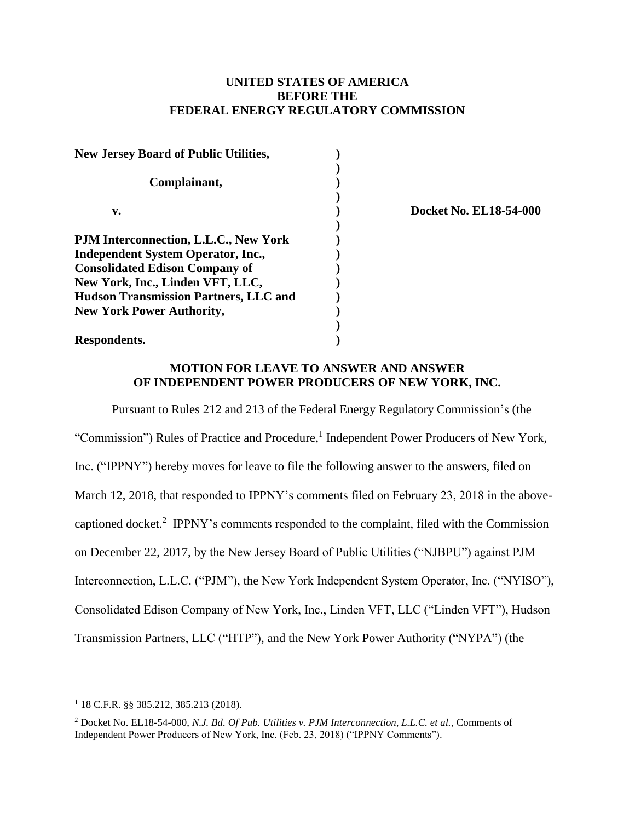## **UNITED STATES OF AMERICA BEFORE THE FEDERAL ENERGY REGULATORY COMMISSION**

| <b>New Jersey Board of Public Utilities,</b> |  |
|----------------------------------------------|--|
| Complainant,                                 |  |
|                                              |  |
| v.                                           |  |
|                                              |  |
| PJM Interconnection, L.L.C., New York        |  |
| <b>Independent System Operator, Inc.,</b>    |  |
| <b>Consolidated Edison Company of</b>        |  |
| New York, Inc., Linden VFT, LLC,             |  |
| <b>Hudson Transmission Partners, LLC and</b> |  |
| <b>New York Power Authority,</b>             |  |
|                                              |  |
| Respondents.                                 |  |

**v. ) Docket No. EL18-54-000**

## **MOTION FOR LEAVE TO ANSWER AND ANSWER OF INDEPENDENT POWER PRODUCERS OF NEW YORK, INC.**

Pursuant to Rules 212 and 213 of the Federal Energy Regulatory Commission's (the "Commission") Rules of Practice and Procedure, 1 Independent Power Producers of New York, Inc. ("IPPNY") hereby moves for leave to file the following answer to the answers, filed on March 12, 2018, that responded to IPPNY's comments filed on February 23, 2018 in the abovecaptioned docket.<sup>2</sup> IPPNY's comments responded to the complaint, filed with the Commission on December 22, 2017, by the New Jersey Board of Public Utilities ("NJBPU") against PJM Interconnection, L.L.C. ("PJM"), the New York Independent System Operator, Inc. ("NYISO"), Consolidated Edison Company of New York, Inc., Linden VFT, LLC ("Linden VFT"), Hudson Transmission Partners, LLC ("HTP"), and the New York Power Authority ("NYPA") (the

<sup>1</sup> 18 C.F.R. §§ 385.212, 385.213 (2018).

<sup>2</sup> Docket No. EL18-54-000, *N.J. Bd. Of Pub. Utilities v. PJM Interconnection, L.L.C. et al.*, Comments of Independent Power Producers of New York, Inc. (Feb. 23, 2018) ("IPPNY Comments").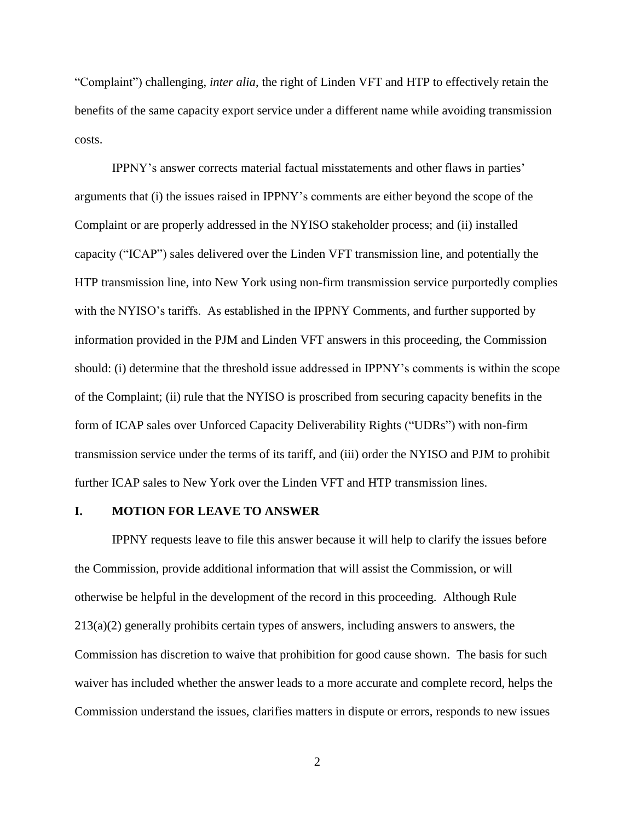"Complaint") challenging, *inter alia*, the right of Linden VFT and HTP to effectively retain the benefits of the same capacity export service under a different name while avoiding transmission costs.

IPPNY's answer corrects material factual misstatements and other flaws in parties' arguments that (i) the issues raised in IPPNY's comments are either beyond the scope of the Complaint or are properly addressed in the NYISO stakeholder process; and (ii) installed capacity ("ICAP") sales delivered over the Linden VFT transmission line, and potentially the HTP transmission line, into New York using non-firm transmission service purportedly complies with the NYISO's tariffs. As established in the IPPNY Comments, and further supported by information provided in the PJM and Linden VFT answers in this proceeding, the Commission should: (i) determine that the threshold issue addressed in IPPNY's comments is within the scope of the Complaint; (ii) rule that the NYISO is proscribed from securing capacity benefits in the form of ICAP sales over Unforced Capacity Deliverability Rights ("UDRs") with non-firm transmission service under the terms of its tariff, and (iii) order the NYISO and PJM to prohibit further ICAP sales to New York over the Linden VFT and HTP transmission lines.

### **I. MOTION FOR LEAVE TO ANSWER**

IPPNY requests leave to file this answer because it will help to clarify the issues before the Commission, provide additional information that will assist the Commission, or will otherwise be helpful in the development of the record in this proceeding. Although Rule 213(a)(2) generally prohibits certain types of answers, including answers to answers, the Commission has discretion to waive that prohibition for good cause shown. The basis for such waiver has included whether the answer leads to a more accurate and complete record, helps the Commission understand the issues, clarifies matters in dispute or errors, responds to new issues

2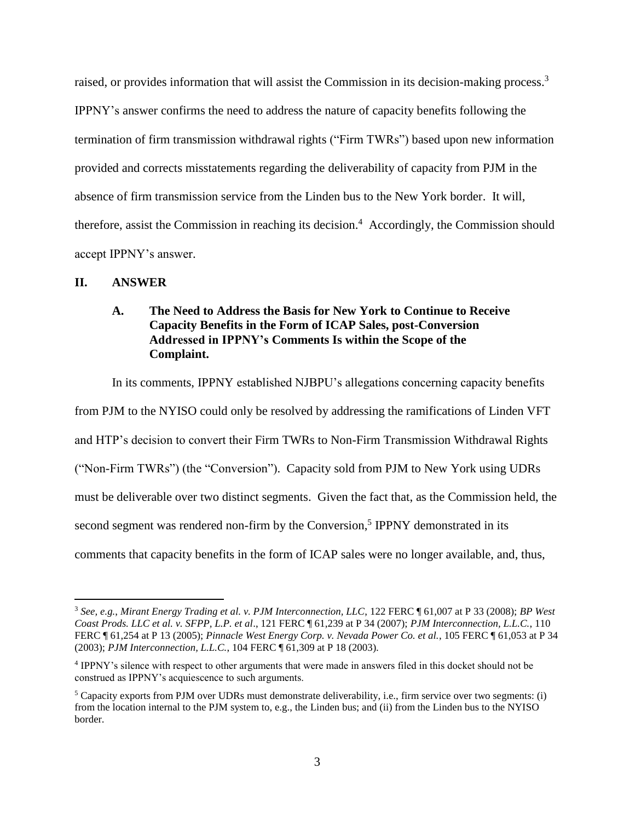raised, or provides information that will assist the Commission in its decision-making process.<sup>3</sup> IPPNY's answer confirms the need to address the nature of capacity benefits following the termination of firm transmission withdrawal rights ("Firm TWRs") based upon new information provided and corrects misstatements regarding the deliverability of capacity from PJM in the absence of firm transmission service from the Linden bus to the New York border. It will, therefore, assist the Commission in reaching its decision.<sup>4</sup> Accordingly, the Commission should accept IPPNY's answer.

### **II. ANSWER**

 $\overline{a}$ 

# **A. The Need to Address the Basis for New York to Continue to Receive Capacity Benefits in the Form of ICAP Sales, post-Conversion Addressed in IPPNY's Comments Is within the Scope of the Complaint.**

In its comments, IPPNY established NJBPU's allegations concerning capacity benefits from PJM to the NYISO could only be resolved by addressing the ramifications of Linden VFT and HTP's decision to convert their Firm TWRs to Non-Firm Transmission Withdrawal Rights ("Non-Firm TWRs") (the "Conversion"). Capacity sold from PJM to New York using UDRs must be deliverable over two distinct segments. Given the fact that, as the Commission held, the second segment was rendered non-firm by the Conversion,<sup>5</sup> IPPNY demonstrated in its comments that capacity benefits in the form of ICAP sales were no longer available, and, thus,

<sup>3</sup> *See, e.g.*, *Mirant Energy Trading et al. v. PJM Interconnection, LLC*, 122 FERC ¶ 61,007 at P 33 (2008); *BP West Coast Prods. LLC et al. v. SFPP, L.P. et al*., 121 FERC ¶ 61,239 at P 34 (2007); *PJM Interconnection, L.L.C.*, 110 FERC ¶ 61,254 at P 13 (2005); *Pinnacle West Energy Corp. v. Nevada Power Co. et al.*, 105 FERC ¶ 61,053 at P 34 (2003); *PJM Interconnection, L.L.C.*, 104 FERC ¶ 61,309 at P 18 (2003).

<sup>4</sup> IPPNY's silence with respect to other arguments that were made in answers filed in this docket should not be construed as IPPNY's acquiescence to such arguments.

<sup>5</sup> Capacity exports from PJM over UDRs must demonstrate deliverability, i.e., firm service over two segments: (i) from the location internal to the PJM system to, e.g., the Linden bus; and (ii) from the Linden bus to the NYISO border.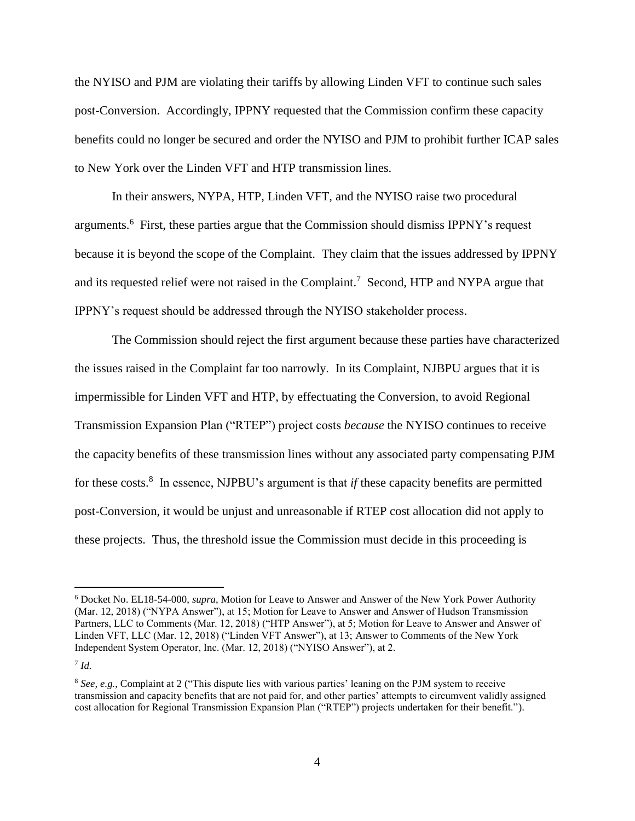the NYISO and PJM are violating their tariffs by allowing Linden VFT to continue such sales post-Conversion. Accordingly, IPPNY requested that the Commission confirm these capacity benefits could no longer be secured and order the NYISO and PJM to prohibit further ICAP sales to New York over the Linden VFT and HTP transmission lines.

In their answers, NYPA, HTP, Linden VFT, and the NYISO raise two procedural arguments.<sup>6</sup> First, these parties argue that the Commission should dismiss IPPNY's request because it is beyond the scope of the Complaint. They claim that the issues addressed by IPPNY and its requested relief were not raised in the Complaint.<sup>7</sup> Second, HTP and NYPA argue that IPPNY's request should be addressed through the NYISO stakeholder process.

The Commission should reject the first argument because these parties have characterized the issues raised in the Complaint far too narrowly. In its Complaint, NJBPU argues that it is impermissible for Linden VFT and HTP, by effectuating the Conversion, to avoid Regional Transmission Expansion Plan ("RTEP") project costs *because* the NYISO continues to receive the capacity benefits of these transmission lines without any associated party compensating PJM for these costs.<sup>8</sup> In essence, NJPBU's argument is that *if* these capacity benefits are permitted post-Conversion, it would be unjust and unreasonable if RTEP cost allocation did not apply to these projects. Thus, the threshold issue the Commission must decide in this proceeding is

<sup>6</sup> Docket No. EL18-54-000, *supra*, Motion for Leave to Answer and Answer of the New York Power Authority (Mar. 12, 2018) ("NYPA Answer"), at 15; Motion for Leave to Answer and Answer of Hudson Transmission Partners, LLC to Comments (Mar. 12, 2018) ("HTP Answer"), at 5; Motion for Leave to Answer and Answer of Linden VFT, LLC (Mar. 12, 2018) ("Linden VFT Answer"), at 13; Answer to Comments of the New York Independent System Operator, Inc. (Mar. 12, 2018) ("NYISO Answer"), at 2.

<sup>7</sup> *Id.*

<sup>8</sup> *See, e.g.*, Complaint at 2 ("This dispute lies with various parties' leaning on the PJM system to receive transmission and capacity benefits that are not paid for, and other parties' attempts to circumvent validly assigned cost allocation for Regional Transmission Expansion Plan ("RTEP") projects undertaken for their benefit.").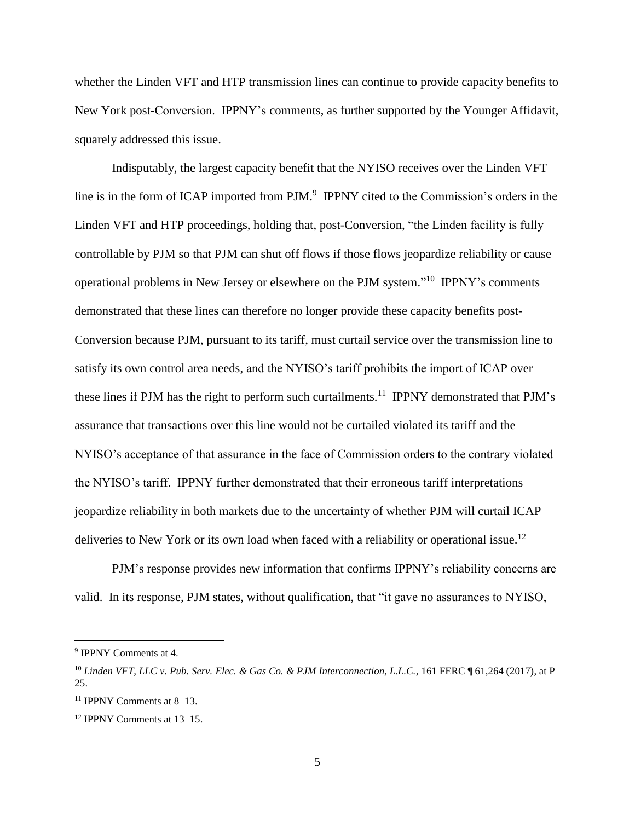whether the Linden VFT and HTP transmission lines can continue to provide capacity benefits to New York post-Conversion. IPPNY's comments, as further supported by the Younger Affidavit, squarely addressed this issue.

Indisputably, the largest capacity benefit that the NYISO receives over the Linden VFT line is in the form of ICAP imported from PJM.<sup>9</sup> IPPNY cited to the Commission's orders in the Linden VFT and HTP proceedings, holding that, post-Conversion, "the Linden facility is fully controllable by PJM so that PJM can shut off flows if those flows jeopardize reliability or cause operational problems in New Jersey or elsewhere on the PJM system." <sup>10</sup> IPPNY's comments demonstrated that these lines can therefore no longer provide these capacity benefits post-Conversion because PJM, pursuant to its tariff, must curtail service over the transmission line to satisfy its own control area needs, and the NYISO's tariff prohibits the import of ICAP over these lines if PJM has the right to perform such curtailments.<sup>11</sup> IPPNY demonstrated that PJM's assurance that transactions over this line would not be curtailed violated its tariff and the NYISO's acceptance of that assurance in the face of Commission orders to the contrary violated the NYISO's tariff. IPPNY further demonstrated that their erroneous tariff interpretations jeopardize reliability in both markets due to the uncertainty of whether PJM will curtail ICAP deliveries to New York or its own load when faced with a reliability or operational issue.<sup>12</sup>

PJM's response provides new information that confirms IPPNY's reliability concerns are valid. In its response, PJM states, without qualification, that "it gave no assurances to NYISO,

<sup>9</sup> IPPNY Comments at 4.

<sup>10</sup> *Linden VFT, LLC v. Pub. Serv. Elec. & Gas Co. & PJM Interconnection, L.L.C.*, 161 FERC ¶ 61,264 (2017), at P 25.

<sup>11</sup> IPPNY Comments at 8–13.

<sup>12</sup> IPPNY Comments at 13–15.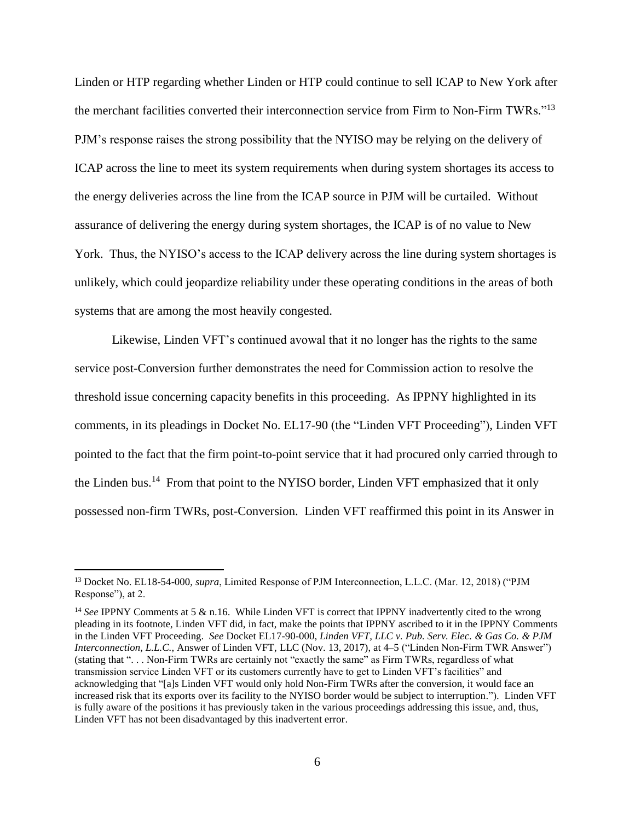Linden or HTP regarding whether Linden or HTP could continue to sell ICAP to New York after the merchant facilities converted their interconnection service from Firm to Non-Firm TWRs."<sup>13</sup> PJM's response raises the strong possibility that the NYISO may be relying on the delivery of ICAP across the line to meet its system requirements when during system shortages its access to the energy deliveries across the line from the ICAP source in PJM will be curtailed. Without assurance of delivering the energy during system shortages, the ICAP is of no value to New York. Thus, the NYISO's access to the ICAP delivery across the line during system shortages is unlikely, which could jeopardize reliability under these operating conditions in the areas of both systems that are among the most heavily congested.

Likewise, Linden VFT's continued avowal that it no longer has the rights to the same service post-Conversion further demonstrates the need for Commission action to resolve the threshold issue concerning capacity benefits in this proceeding. As IPPNY highlighted in its comments, in its pleadings in Docket No. EL17-90 (the "Linden VFT Proceeding"), Linden VFT pointed to the fact that the firm point-to-point service that it had procured only carried through to the Linden bus.<sup>14</sup> From that point to the NYISO border, Linden VFT emphasized that it only possessed non-firm TWRs, post-Conversion. Linden VFT reaffirmed this point in its Answer in

<sup>13</sup> Docket No. EL18-54-000, *supra*, Limited Response of PJM Interconnection, L.L.C. (Mar. 12, 2018) ("PJM Response"), at 2.

<sup>&</sup>lt;sup>14</sup> See IPPNY Comments at 5 & n.16. While Linden VFT is correct that IPPNY inadvertently cited to the wrong pleading in its footnote, Linden VFT did, in fact, make the points that IPPNY ascribed to it in the IPPNY Comments in the Linden VFT Proceeding. *See* Docket EL17-90-000, *Linden VFT, LLC v. Pub. Serv. Elec. & Gas Co. & PJM Interconnection, L.L.C.*, Answer of Linden VFT, LLC (Nov. 13, 2017), at 4–5 ("Linden Non-Firm TWR Answer") (stating that ". . . Non-Firm TWRs are certainly not "exactly the same" as Firm TWRs, regardless of what transmission service Linden VFT or its customers currently have to get to Linden VFT's facilities" and acknowledging that "[a]s Linden VFT would only hold Non-Firm TWRs after the conversion, it would face an increased risk that its exports over its facility to the NYISO border would be subject to interruption."). Linden VFT is fully aware of the positions it has previously taken in the various proceedings addressing this issue, and, thus, Linden VFT has not been disadvantaged by this inadvertent error.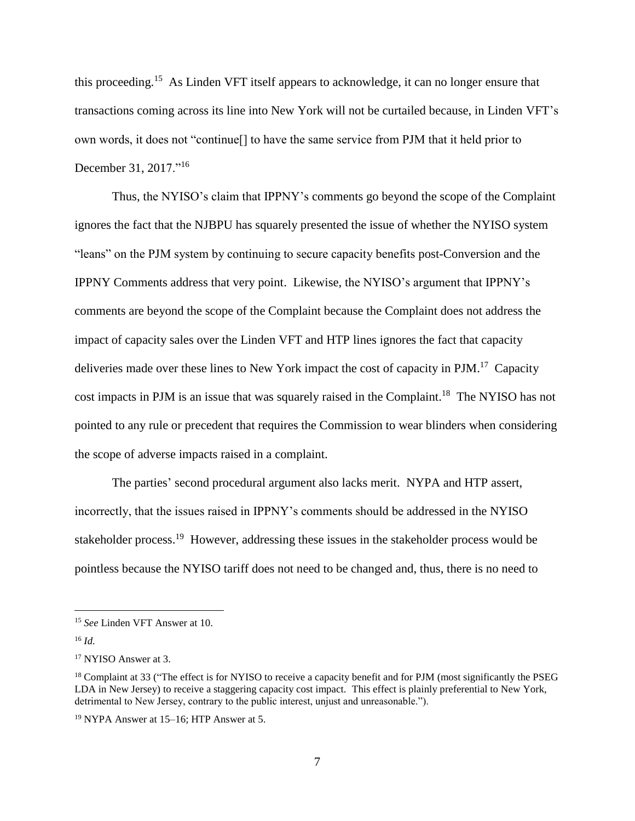this proceeding.<sup>15</sup> As Linden VFT itself appears to acknowledge, it can no longer ensure that transactions coming across its line into New York will not be curtailed because, in Linden VFT's own words, it does not "continue[] to have the same service from PJM that it held prior to December 31, 2017."<sup>16</sup>

Thus, the NYISO's claim that IPPNY's comments go beyond the scope of the Complaint ignores the fact that the NJBPU has squarely presented the issue of whether the NYISO system "leans" on the PJM system by continuing to secure capacity benefits post-Conversion and the IPPNY Comments address that very point. Likewise, the NYISO's argument that IPPNY's comments are beyond the scope of the Complaint because the Complaint does not address the impact of capacity sales over the Linden VFT and HTP lines ignores the fact that capacity deliveries made over these lines to New York impact the cost of capacity in PJM.<sup>17</sup> Capacity cost impacts in PJM is an issue that was squarely raised in the Complaint.<sup>18</sup> The NYISO has not pointed to any rule or precedent that requires the Commission to wear blinders when considering the scope of adverse impacts raised in a complaint.

The parties' second procedural argument also lacks merit. NYPA and HTP assert, incorrectly, that the issues raised in IPPNY's comments should be addressed in the NYISO stakeholder process.<sup>19</sup> However, addressing these issues in the stakeholder process would be pointless because the NYISO tariff does not need to be changed and, thus, there is no need to

<sup>15</sup> *See* Linden VFT Answer at 10.

<sup>16</sup> *Id.*

<sup>17</sup> NYISO Answer at 3.

<sup>&</sup>lt;sup>18</sup> Complaint at 33 ("The effect is for NYISO to receive a capacity benefit and for PJM (most significantly the PSEG LDA in New Jersey) to receive a staggering capacity cost impact. This effect is plainly preferential to New York, detrimental to New Jersey, contrary to the public interest, unjust and unreasonable.").

<sup>19</sup> NYPA Answer at 15–16; HTP Answer at 5.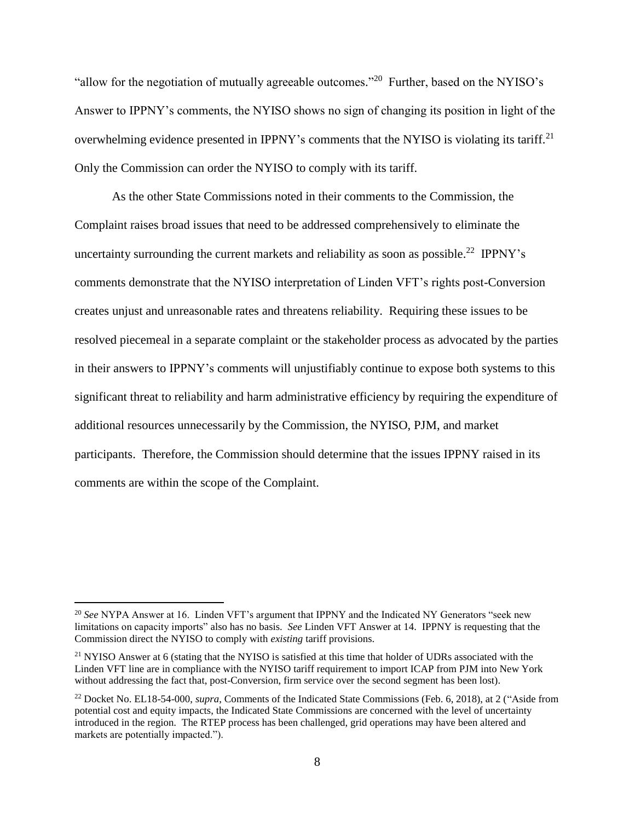"allow for the negotiation of mutually agreeable outcomes."<sup>20</sup> Further, based on the NYISO's Answer to IPPNY's comments, the NYISO shows no sign of changing its position in light of the overwhelming evidence presented in IPPNY's comments that the NYISO is violating its tariff.<sup>21</sup> Only the Commission can order the NYISO to comply with its tariff.

As the other State Commissions noted in their comments to the Commission, the Complaint raises broad issues that need to be addressed comprehensively to eliminate the uncertainty surrounding the current markets and reliability as soon as possible.<sup>22</sup> IPPNY's comments demonstrate that the NYISO interpretation of Linden VFT's rights post-Conversion creates unjust and unreasonable rates and threatens reliability. Requiring these issues to be resolved piecemeal in a separate complaint or the stakeholder process as advocated by the parties in their answers to IPPNY's comments will unjustifiably continue to expose both systems to this significant threat to reliability and harm administrative efficiency by requiring the expenditure of additional resources unnecessarily by the Commission, the NYISO, PJM, and market participants. Therefore, the Commission should determine that the issues IPPNY raised in its comments are within the scope of the Complaint.

<sup>20</sup> *See* NYPA Answer at 16. Linden VFT's argument that IPPNY and the Indicated NY Generators "seek new limitations on capacity imports" also has no basis. *See* Linden VFT Answer at 14. IPPNY is requesting that the Commission direct the NYISO to comply with *existing* tariff provisions.

<sup>&</sup>lt;sup>21</sup> NYISO Answer at 6 (stating that the NYISO is satisfied at this time that holder of UDRs associated with the Linden VFT line are in compliance with the NYISO tariff requirement to import ICAP from PJM into New York without addressing the fact that, post-Conversion, firm service over the second segment has been lost).

<sup>&</sup>lt;sup>22</sup> Docket No. EL18-54-000, *supra*, Comments of the Indicated State Commissions (Feb. 6, 2018), at 2 ("Aside from potential cost and equity impacts, the Indicated State Commissions are concerned with the level of uncertainty introduced in the region. The RTEP process has been challenged, grid operations may have been altered and markets are potentially impacted.").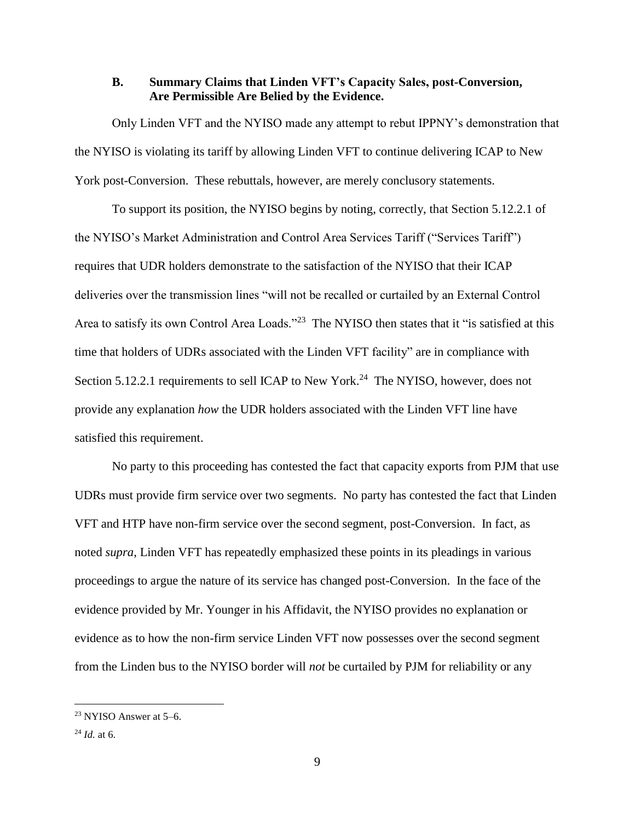### **B. Summary Claims that Linden VFT's Capacity Sales, post-Conversion, Are Permissible Are Belied by the Evidence.**

Only Linden VFT and the NYISO made any attempt to rebut IPPNY's demonstration that the NYISO is violating its tariff by allowing Linden VFT to continue delivering ICAP to New York post-Conversion. These rebuttals, however, are merely conclusory statements.

To support its position, the NYISO begins by noting, correctly, that Section 5.12.2.1 of the NYISO's Market Administration and Control Area Services Tariff ("Services Tariff") requires that UDR holders demonstrate to the satisfaction of the NYISO that their ICAP deliveries over the transmission lines "will not be recalled or curtailed by an External Control Area to satisfy its own Control Area Loads."<sup>23</sup> The NYISO then states that it "is satisfied at this time that holders of UDRs associated with the Linden VFT facility" are in compliance with Section 5.12.2.1 requirements to sell ICAP to New York.<sup>24</sup> The NYISO, however, does not provide any explanation *how* the UDR holders associated with the Linden VFT line have satisfied this requirement.

No party to this proceeding has contested the fact that capacity exports from PJM that use UDRs must provide firm service over two segments. No party has contested the fact that Linden VFT and HTP have non-firm service over the second segment, post-Conversion. In fact, as noted *supra*, Linden VFT has repeatedly emphasized these points in its pleadings in various proceedings to argue the nature of its service has changed post-Conversion. In the face of the evidence provided by Mr. Younger in his Affidavit, the NYISO provides no explanation or evidence as to how the non-firm service Linden VFT now possesses over the second segment from the Linden bus to the NYISO border will *not* be curtailed by PJM for reliability or any

<sup>23</sup> NYISO Answer at 5–6.

<sup>24</sup> *Id.* at 6.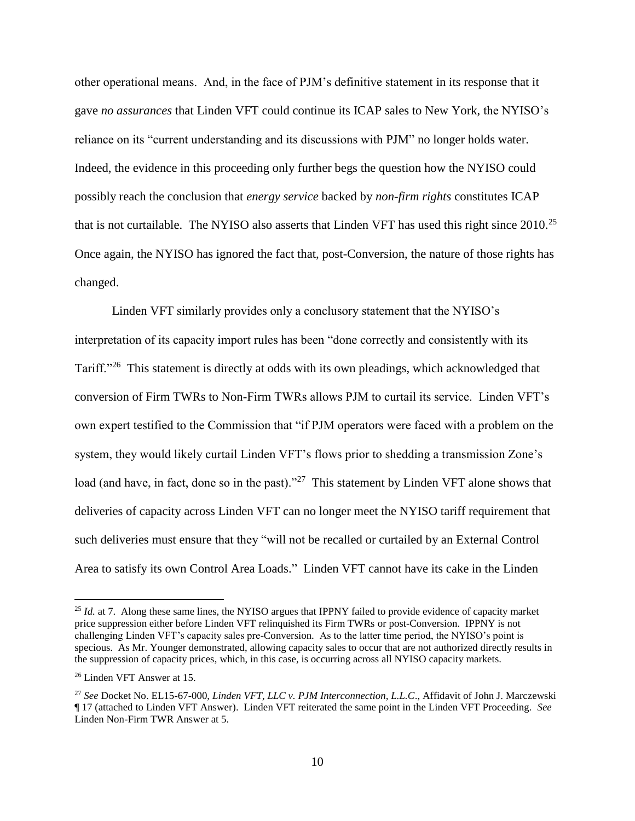other operational means. And, in the face of PJM's definitive statement in its response that it gave *no assurances* that Linden VFT could continue its ICAP sales to New York, the NYISO's reliance on its "current understanding and its discussions with PJM" no longer holds water. Indeed, the evidence in this proceeding only further begs the question how the NYISO could possibly reach the conclusion that *energy service* backed by *non-firm rights* constitutes ICAP that is not curtailable. The NYISO also asserts that Linden VFT has used this right since 2010.<sup>25</sup> Once again, the NYISO has ignored the fact that, post-Conversion, the nature of those rights has changed.

Linden VFT similarly provides only a conclusory statement that the NYISO's interpretation of its capacity import rules has been "done correctly and consistently with its Tariff."<sup>26</sup> This statement is directly at odds with its own pleadings, which acknowledged that conversion of Firm TWRs to Non-Firm TWRs allows PJM to curtail its service. Linden VFT's own expert testified to the Commission that "if PJM operators were faced with a problem on the system, they would likely curtail Linden VFT's flows prior to shedding a transmission Zone's load (and have, in fact, done so in the past)."<sup>27</sup> This statement by Linden VFT alone shows that deliveries of capacity across Linden VFT can no longer meet the NYISO tariff requirement that such deliveries must ensure that they "will not be recalled or curtailed by an External Control Area to satisfy its own Control Area Loads." Linden VFT cannot have its cake in the Linden

<sup>&</sup>lt;sup>25</sup> *Id.* at 7. Along these same lines, the NYISO argues that IPPNY failed to provide evidence of capacity market price suppression either before Linden VFT relinquished its Firm TWRs or post-Conversion. IPPNY is not challenging Linden VFT's capacity sales pre-Conversion. As to the latter time period, the NYISO's point is specious. As Mr. Younger demonstrated, allowing capacity sales to occur that are not authorized directly results in the suppression of capacity prices, which, in this case, is occurring across all NYISO capacity markets.

<sup>26</sup> Linden VFT Answer at 15.

<sup>27</sup> *See* Docket No. EL15-67-000, *Linden VFT, LLC v. PJM Interconnection, L.L.C*., Affidavit of John J. Marczewski ¶ 17 (attached to Linden VFT Answer). Linden VFT reiterated the same point in the Linden VFT Proceeding. *See* Linden Non-Firm TWR Answer at 5.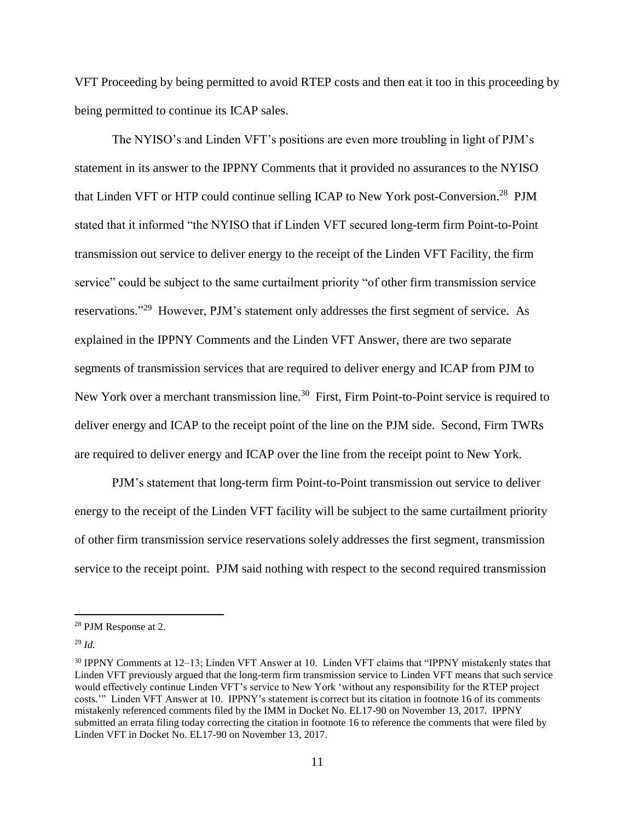VFT Proceeding by being permitted to avoid RTEP costs and then eat it too in this proceeding by being permitted to continue its ICAP sales.

The NYISO's and Linden VFT's positions are even more troubling in light of PJM's statement in its answer to the IPPNY Comments that it provided no assurances to the NYISO that Linden VFT or HTP could continue selling ICAP to New York post-Conversion.<sup>28</sup> PJM stated that it informed "the NYISO that if Linden VFT secured long-term firm Point-to-Point transmission out service to deliver energy to the receipt of the Linden VFT Facility, the firm service" could be subject to the same curtailment priority "of other firm transmission service reservations."<sup>29</sup> However, PJM's statement only addresses the first segment of service. As explained in the IPPNY Comments and the Linden VFT Answer, there are two separate segments of transmission services that are required to deliver energy and ICAP from PJM to New York over a merchant transmission line.<sup>30</sup> First, Firm Point-to-Point service is required to deliver energy and ICAP to the receipt point of the line on the PJM side. Second, Firm TWRs are required to deliver energy and ICAP over the line from the receipt point to New York.

PJM's statement that long-term firm Point-to-Point transmission out service to deliver energy to the receipt of the Linden VFT facility will be subject to the same curtailment priority of other firm transmission service reservations solely addresses the first segment, transmission service to the receipt point. PJM said nothing with respect to the second required transmission

<sup>28</sup> PJM Response at 2.

<sup>29</sup> *Id.*

<sup>30</sup> IPPNY Comments at 12–13; Linden VFT Answer at 10. Linden VFT claims that "IPPNY mistakenly states that Linden VFT previously argued that the long-term firm transmission service to Linden VFT means that such service would effectively continue Linden VFT's service to New York 'without any responsibility for the RTEP project costs.'" Linden VFT Answer at 10. IPPNY's statement is correct but its citation in footnote 16 of its comments mistakenly referenced comments filed by the IMM in Docket No. EL17-90 on November 13, 2017. IPPNY submitted an errata filing today correcting the citation in footnote 16 to reference the comments that were filed by Linden VFT in Docket No. EL17-90 on November 13, 2017.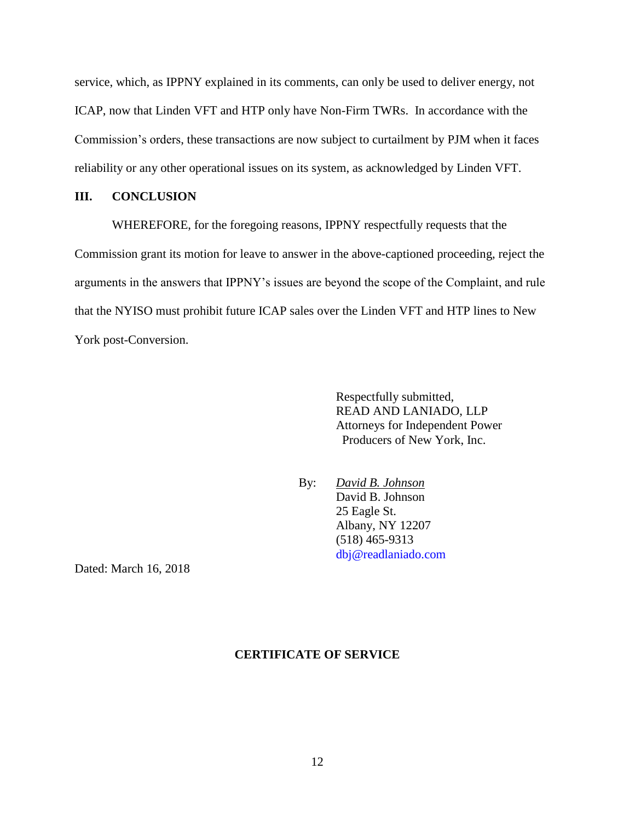service, which, as IPPNY explained in its comments, can only be used to deliver energy, not ICAP, now that Linden VFT and HTP only have Non-Firm TWRs. In accordance with the Commission's orders, these transactions are now subject to curtailment by PJM when it faces reliability or any other operational issues on its system, as acknowledged by Linden VFT.

## **III. CONCLUSION**

WHEREFORE, for the foregoing reasons, IPPNY respectfully requests that the Commission grant its motion for leave to answer in the above-captioned proceeding, reject the arguments in the answers that IPPNY's issues are beyond the scope of the Complaint, and rule that the NYISO must prohibit future ICAP sales over the Linden VFT and HTP lines to New York post-Conversion.

> Respectfully submitted, READ AND LANIADO, LLP Attorneys for Independent Power Producers of New York, Inc.

By: *David B. Johnson* David B. Johnson 25 Eagle St. Albany, NY 12207 (518) 465-9313 dbj@readlaniado.com

Dated: March 16, 2018

#### **CERTIFICATE OF SERVICE**